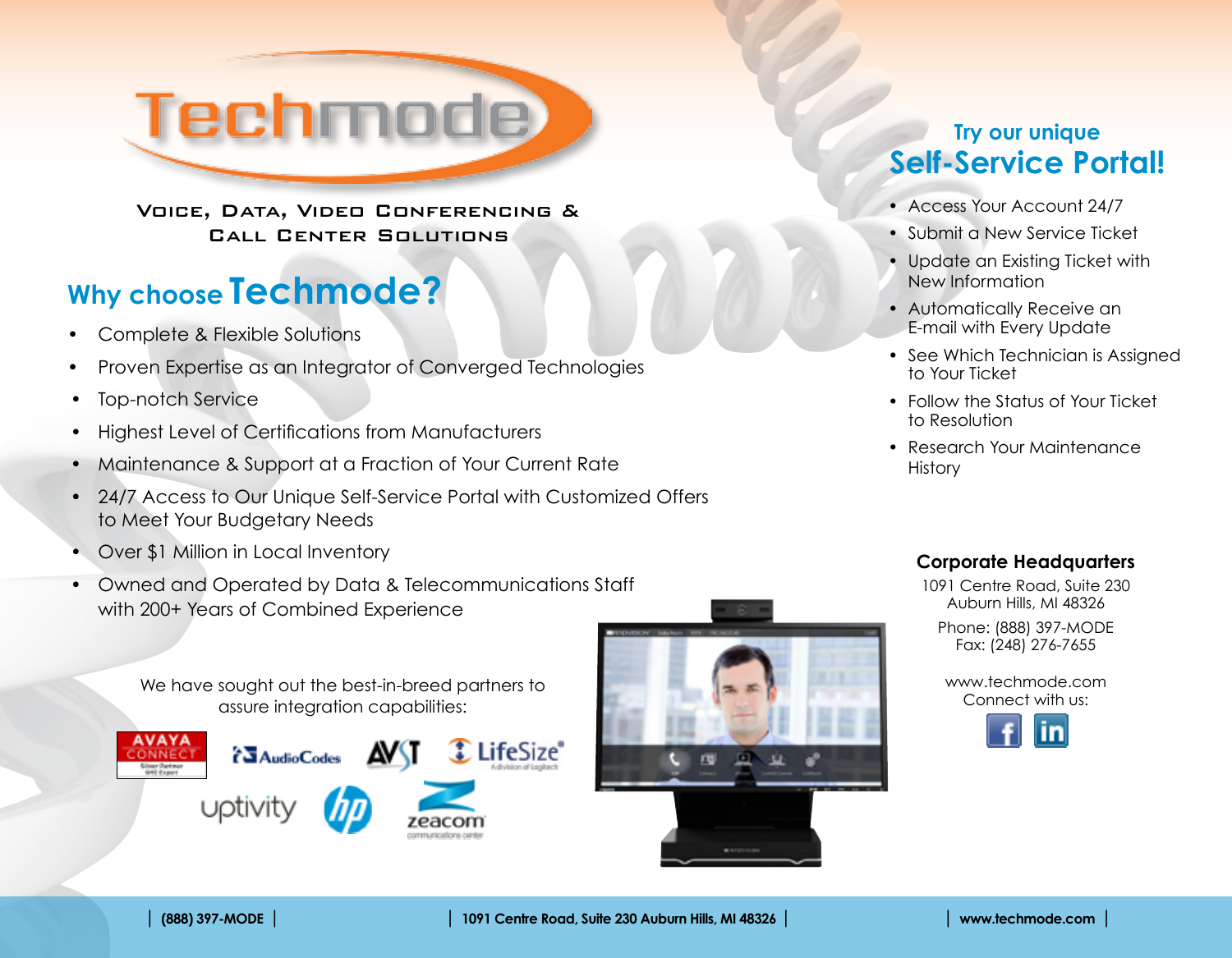

Voice, Data, Video Conferencing & Call Center Solutions

# **Why choose Techmode?**

- Complete & Flexible Solutions
- Proven Expertise as an Integrator of Converged Technologies
- Top-notch Service
- • Highest Level of Certifications from Manufacturers
- Maintenance & Support at a Fraction of Your Current Rate
- <sup>24</sup>/7 Access to Our Unique Self-Service Portal with Customized Offers to Meet Your Budgetary Needs
- **Over \$1 Million in Local Inventory**
- Owned and Operated by Data & Telecommunications Staff with 200+ Years of Combined Experience

We have sought out the best-in-breed partners to assure integration capabilities:





### **Try our unique Self-Service Portal!**

- Access Your Account 24/7
- Submit a New Service Ticket
- Update an Existing Ticket with New Information
- Automatically Receive an E-mail with Every Update
- See Which Technician is Assigned to Your Ticket
- Follow the Status of Your Ticket to Resolution
- Research Your Maintenance **History**

#### **Corporate Headquarters**

1091 Centre Road, Suite 230 Auburn Hills, MI 48326 Phone: (888) 397-MODE

Fax: (248) 276-7655

www.techmode.com Connect with us: